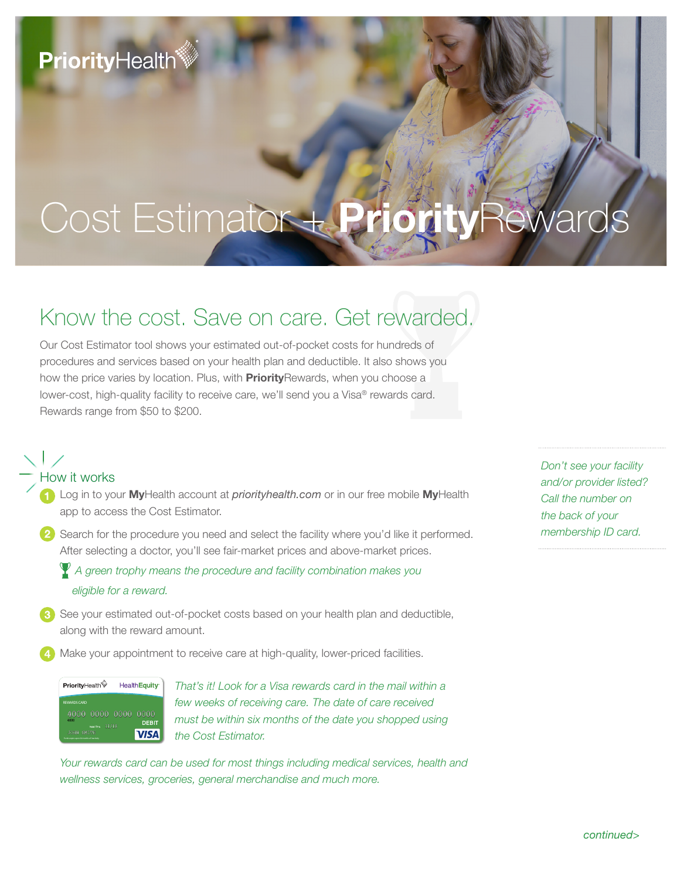## **PriorityHealth**

# Cost Estimator + **Priority**Rewards

### Know the cost. Save on care. Get rewarded.

Our Cost Estimator tool shows your estimated out-of-pocket costs for hundreds of procedures and services based on your health plan and deductible. It also shows you how the price varies by location. Plus, with **Priority**Rewards, when you choose a lower-cost, high-quality facility to receive care, we'll send you a Visa® rewards card. Rewards range from \$50 to \$200.

#### How it works

- Log in to your **My**Health account at *priorityhealth.com* or in our free mobile **My**Health app to access the Cost Estimator.
- 2) Search for the procedure you need and select the facility where you'd like it performed. After selecting a doctor, you'll see fair-market prices and above-market prices.

 *A green trophy means the procedure and facility combination makes you eligible for a reward.*

- 8 See your estimated out-of-pocket costs based on your health plan and deductible, along with the reward amount.
- Make your appointment to receive care at high-quality, lower-priced facilities.



*That's it! Look for a Visa rewards card in the mail within a few weeks of receiving care. The date of care received must be within six months of the date you shopped using the Cost Estimator.* 

Your rewards card can be used for most things including medical services, health and *wellness services, groceries, general merchandise and much more.*

*Don't see your facility and/or provider listed? Call the number on the back of your membership ID card.*